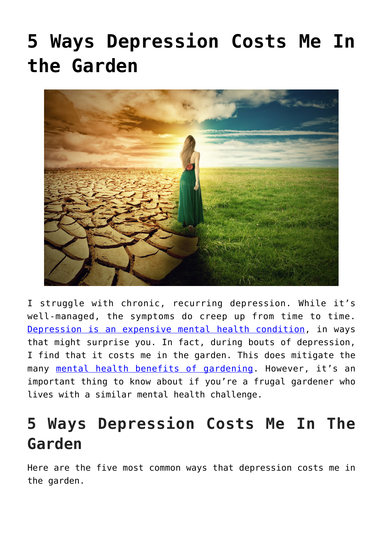# **[5 Ways Depression Costs Me In](https://www.frugalgardening.com/5-ways-depression-costs-me-in-the-garden.html) [the Garden](https://www.frugalgardening.com/5-ways-depression-costs-me-in-the-garden.html)**



I struggle with chronic, recurring depression. While it's well-managed, the symptoms do creep up from time to time. [Depression is an expensive mental health condition](https://www.savingadvice.com/articles/2022/03/25/1093311_10-ways-depression-impacted-my-finances.html), in ways that might surprise you. In fact, during bouts of depression, I find that it costs me in the garden. This does mitigate the many [mental health benefits of gardening.](https://mindfulcenter.org/keeping-plants-improves-mental-health/) However, it's an important thing to know about if you're a frugal gardener who lives with a similar mental health challenge.

## **5 Ways Depression Costs Me In The Garden**

Here are the five most common ways that depression costs me in the garden.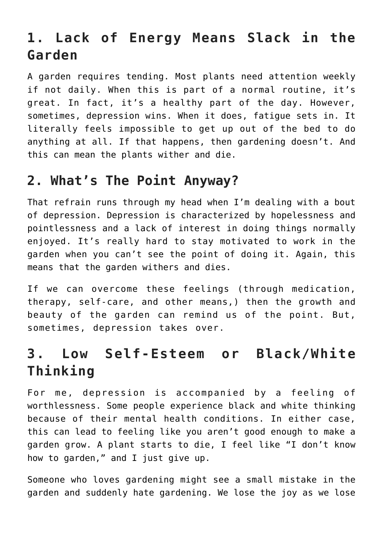### **1. Lack of Energy Means Slack in the Garden**

A garden requires tending. Most plants need attention weekly if not daily. When this is part of a normal routine, it's great. In fact, it's a healthy part of the day. However, sometimes, depression wins. When it does, fatigue sets in. It literally feels impossible to get up out of the bed to do anything at all. If that happens, then gardening doesn't. And this can mean the plants wither and die.

#### **2. What's The Point Anyway?**

That refrain runs through my head when I'm dealing with a bout of depression. Depression is characterized by hopelessness and pointlessness and a lack of interest in doing things normally enjoyed. It's really hard to stay motivated to work in the garden when you can't see the point of doing it. Again, this means that the garden withers and dies.

If we can overcome these feelings (through medication, therapy, self-care, and other means,) then the growth and beauty of the garden can remind us of the point. But, sometimes, depression takes over.

#### **3. Low Self-Esteem or Black/White Thinking**

For me, depression is accompanied by a feeling of worthlessness. Some people experience black and white thinking because of their mental health conditions. In either case, this can lead to feeling like you aren't good enough to make a garden grow. A plant starts to die, I feel like "I don't know how to garden," and I just give up.

Someone who loves gardening might see a small mistake in the garden and suddenly hate gardening. We lose the joy as we lose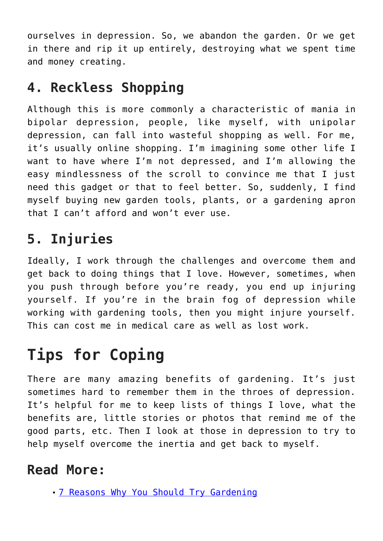ourselves in depression. So, we abandon the garden. Or we get in there and rip it up entirely, destroying what we spent time and money creating.

### **4. Reckless Shopping**

Although this is more commonly a characteristic of mania in bipolar depression, people, like myself, with unipolar depression, can fall into wasteful shopping as well. For me, it's usually online shopping. I'm imagining some other life I want to have where I'm not depressed, and I'm allowing the easy mindlessness of the scroll to convince me that I just need this gadget or that to feel better. So, suddenly, I find myself buying new garden tools, plants, or a gardening apron that I can't afford and won't ever use.

## **5. Injuries**

Ideally, I work through the challenges and overcome them and get back to doing things that I love. However, sometimes, when you push through before you're ready, you end up injuring yourself. If you're in the brain fog of depression while working with gardening tools, then you might injure yourself. This can cost me in medical care as well as lost work.

# **Tips for Coping**

There are many amazing benefits of gardening. It's just sometimes hard to remember them in the throes of depression. It's helpful for me to keep lists of things I love, what the benefits are, little stories or photos that remind me of the good parts, etc. Then I look at those in depression to try to help myself overcome the inertia and get back to myself.

#### **Read More:**

[7 Reasons Why You Should Try Gardening](https://www.frugalgardening.com/7-reasons-why-you-should-try-gardening.html)